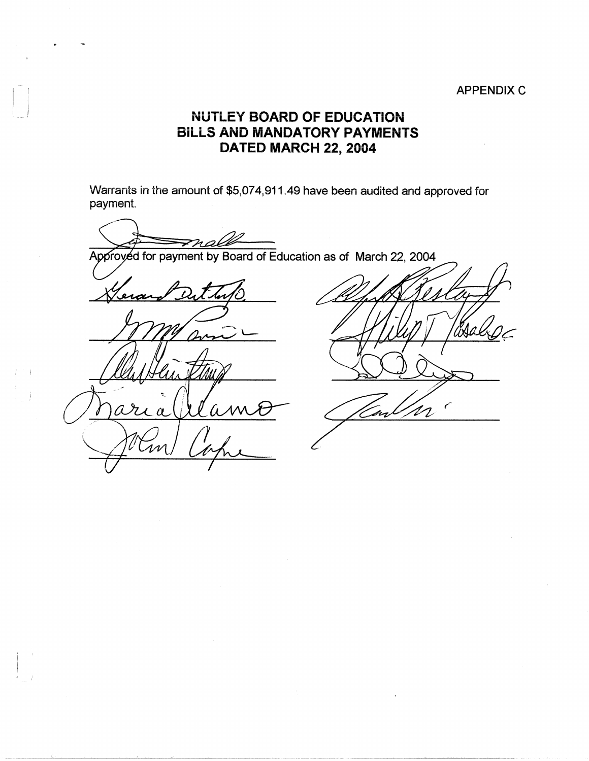## APPENDIX C

## **NUTLEY BOARD OF EDUCATION BILLS AND MANDATORY PAYMENTS DATED MARCH 22, 2004**

Warrants in the amount of \$5,074,911.49 have been audited and approved for payment.

-------------------~------

 $\mathbf{I}$  $\Box$ 

i i

 $\frac{1}{2}$ 

Approyed for payment by Board of Education as of March 22, 2004

 $\boldsymbol{a}$ Ūт

م n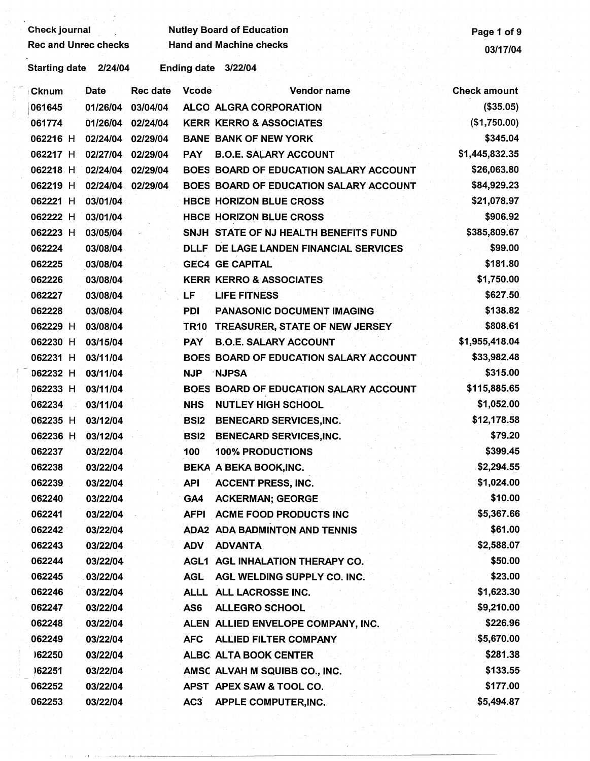| <b>Check journal</b>            |                                 | <b>Nutley Board of Education</b>              | Page 1 of 9         |
|---------------------------------|---------------------------------|-----------------------------------------------|---------------------|
| <b>Rec and Unrec checks</b>     |                                 | <b>Hand and Machine checks</b>                | 03/17/04            |
| 2/24/04<br><b>Starting date</b> | <b>Ending date</b>              | 3/22/04                                       |                     |
| Date<br>Cknum                   | <b>Rec date</b><br><b>Vcode</b> | Vendor name                                   | <b>Check amount</b> |
| 061645<br>01/26/04              | 03/04/04                        | ALCO ALGRA CORPORATION                        | (\$35.05)           |
| 061774<br>01/26/04              | 02/24/04                        | <b>KERR KERRO &amp; ASSOCIATES</b>            | (\$1,750.00)        |
| 062216 H<br>02/24/04            | 02/29/04                        | <b>BANE BANK OF NEW YORK</b>                  | \$345.04            |
| 02/27/04<br>062217 H            | 02/29/04<br><b>PAY</b>          | <b>B.O.E. SALARY ACCOUNT</b>                  | \$1,445,832.35      |
| 062218 H<br>02/24/04            | 02/29/04                        | <b>BOES BOARD OF EDUCATION SALARY ACCOUNT</b> | \$26,063.80         |
| 062219 H<br>02/24/04            | 02/29/04                        | BOES BOARD OF EDUCATION SALARY ACCOUNT        | \$84,929.23         |
| 062221 H<br>03/01/04            |                                 | <b>HBCE HORIZON BLUE CROSS</b>                | \$21,078.97         |
| 062222 H<br>03/01/04            |                                 | <b>HBCE HORIZON BLUE CROSS</b>                | \$906.92            |
| 062223 H<br>03/05/04            |                                 | SNJH STATE OF NJ HEALTH BENEFITS FUND         | \$385,809.67        |
| 062224<br>03/08/04              |                                 | DLLF DE LAGE LANDEN FINANCIAL SERVICES        | \$99.00             |
| 062225<br>03/08/04              |                                 | <b>GEC4 GE CAPITAL</b>                        | \$181.80            |
| 062226<br>03/08/04              |                                 | <b>KERR KERRO &amp; ASSOCIATES</b>            | \$1,750.00          |
| 062227<br>03/08/04              | LF                              | <b>LIFE FITNESS</b>                           | \$627.50            |
| 062228<br>03/08/04              | <b>PDI</b>                      | <b>PANASONIC DOCUMENT IMAGING</b>             | \$138.82            |
| 062229 H<br>03/08/04            | TR10                            | <b>TREASURER, STATE OF NEW JERSEY</b>         | \$808.61            |
| 062230 H<br>03/15/04            | <b>PAY</b>                      | <b>B.O.E. SALARY ACCOUNT</b>                  | \$1,955,418.04      |
| 062231 H<br>03/11/04            |                                 | BOES BOARD OF EDUCATION SALARY ACCOUNT        | \$33,982.48         |
| 062232 H<br>03/11/04            | <b>NJP</b>                      | <b>NJPSA</b>                                  | \$315.00            |
| 062233 H<br>03/11/04            |                                 | BOES BOARD OF EDUCATION SALARY ACCOUNT        | \$115,885.65        |
| 062234<br>03/11/04              | <b>NHS</b>                      | <b>NUTLEY HIGH SCHOOL</b>                     | \$1,052.00          |
| 062235 H<br>03/12/04            | <b>BSI2</b>                     | <b>BENECARD SERVICES, INC.</b>                | \$12,178.58         |
| 062236 H<br>03/12/04            | <b>BSI2</b>                     | <b>BENECARD SERVICES, INC.</b>                | \$79.20             |
| 062237<br>03/22/04              | 100                             | <b>100% PRODUCTIONS</b>                       | \$399.45            |
| 062238<br>03/22/04              |                                 | BEKA A BEKA BOOK, INC.                        | \$2,294.55          |
| 062239<br>03/22/04              | <b>API</b>                      | <b>ACCENT PRESS, INC.</b>                     | \$1,024.00          |
| 062240<br>03/22/04              | GA4                             | <b>ACKERMAN; GEORGE</b>                       | \$10.00             |
| 062241<br>03/22/04              | <b>AFPI</b>                     | ACME FOOD PRODUCTS INC                        | \$5,367.66          |
| 062242<br>03/22/04              |                                 | <b>ADA2 ADA BADMINTON AND TENNIS</b>          | \$61.00             |
| 062243<br>03/22/04              | <b>ADV</b>                      | <b>ADVANTA</b>                                | \$2,588.07          |
| 062244<br>03/22/04              |                                 | AGL1 AGL INHALATION THERAPY CO.               | \$50.00             |
| 062245<br>03/22/04              | <b>AGL</b>                      | AGL WELDING SUPPLY CO. INC.                   | \$23.00             |
| 062246<br>03/22/04              |                                 | ALLL ALL LACROSSE INC.                        | \$1,623.30          |
| 062247<br>03/22/04              | AS6                             | <b>ALLEGRO SCHOOL</b>                         | \$9,210.00          |
| 062248<br>03/22/04              |                                 | ALEN ALLIED ENVELOPE COMPANY, INC.            | \$226.96            |
| 062249<br>03/22/04              | <b>AFC</b>                      | <b>ALLIED FILTER COMPANY</b>                  | \$5,670.00          |
| 162250<br>03/22/04              |                                 | ALBC ALTA BOOK CENTER                         | \$281.38            |
| )62251<br>03/22/04              |                                 | AMSC ALVAH M SQUIBB CO., INC.                 | \$133.55            |
| 062252<br>03/22/04              |                                 | APST APEX SAW & TOOL CO.                      | \$177.00            |
| 062253<br>03/22/04              | AC3                             | APPLE COMPUTER, INC.                          | \$5,494.87          |

ģ,

 $\ddot{\cdot}$ 

~\_J \_\_ J.L .. ..L...:: •• ~lL~---~-~~~---------·------~·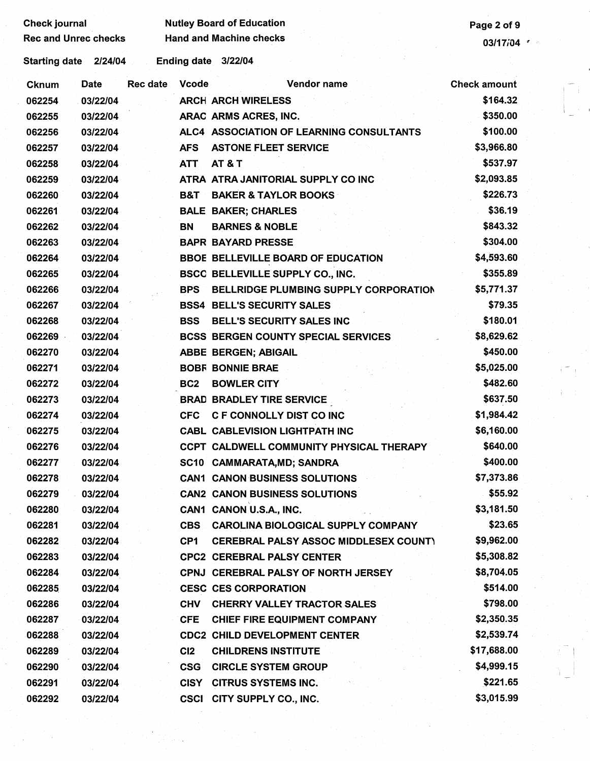| <b>Check journal</b>        |          |                 |                 | <b>Nutley Board of Education</b>             | Page 2 of 9         |
|-----------------------------|----------|-----------------|-----------------|----------------------------------------------|---------------------|
| <b>Rec and Unrec checks</b> |          |                 |                 | <b>Hand and Machine checks</b>               | 03/17/04 $\sim$     |
| Starting date 2/24/04       |          |                 |                 | Ending date 3/22/04                          |                     |
| <b>Cknum</b>                | Date     | <b>Rec date</b> | <b>Vcode</b>    | <b>Vendor name</b>                           | <b>Check amount</b> |
| 062254                      | 03/22/04 |                 |                 | <b>ARCH ARCH WIRELESS</b>                    | \$164.32            |
| 062255                      | 03/22/04 |                 |                 | ARAC ARMS ACRES, INC.                        | \$350.00            |
| 062256                      | 03/22/04 |                 |                 | ALC4 ASSOCIATION OF LEARNING CONSULTANTS     | \$100.00            |
| 062257                      | 03/22/04 |                 | <b>AFS</b>      | <b>ASTONE FLEET SERVICE</b>                  | \$3,966.80          |
| 062258                      | 03/22/04 |                 | <b>ATT</b>      | <b>AT &amp; T</b>                            | \$537.97            |
| 062259                      | 03/22/04 |                 |                 | ATRA ATRA JANITORIAL SUPPLY CO INC           | \$2,093.85          |
| 062260                      | 03/22/04 |                 | <b>B&amp;T</b>  | <b>BAKER &amp; TAYLOR BOOKS</b>              | \$226.73            |
| 062261                      | 03/22/04 |                 |                 | <b>BALE BAKER; CHARLES</b>                   | \$36.19             |
| 062262                      | 03/22/04 |                 | BN              | <b>BARNES &amp; NOBLE</b>                    | \$843.32            |
| 062263                      | 03/22/04 |                 |                 | <b>BAPR BAYARD PRESSE</b>                    | \$304.00            |
| 062264                      | 03/22/04 |                 |                 | <b>BBOE BELLEVILLE BOARD OF EDUCATION</b>    | \$4,593.60          |
| 062265                      | 03/22/04 |                 |                 | BSCC BELLEVILLE SUPPLY CO., INC.             | \$355.89            |
| 062266                      | 03/22/04 |                 | <b>BPS</b>      | <b>BELLRIDGE PLUMBING SUPPLY CORPORATION</b> | \$5,771.37          |
| 062267                      | 03/22/04 |                 |                 | <b>BSS4 BELL'S SECURITY SALES</b>            | \$79.35             |
| 062268                      | 03/22/04 |                 | <b>BSS</b>      | BELL'S SECURITY SALES INC                    | \$180.01            |
| 062269                      | 03/22/04 |                 |                 | <b>BCSS BERGEN COUNTY SPECIAL SERVICES</b>   | \$8,629.62          |
| 062270                      | 03/22/04 |                 |                 | <b>ABBE BERGEN; ABIGAIL</b>                  | \$450.00            |
| 062271                      | 03/22/04 |                 |                 | <b>BOBF BONNIE BRAE</b>                      | \$5,025.00          |
| 062272                      | 03/22/04 |                 | BC <sub>2</sub> | <b>BOWLER CITY</b>                           | \$482.60            |
| 062273                      | 03/22/04 |                 |                 | <b>BRAD BRADLEY TIRE SERVICE</b>             | \$637.50            |
| 062274                      | 03/22/04 |                 | <b>CFC</b>      | <b>C F CONNOLLY DIST CO INC</b>              | \$1,984.42          |
| 062275                      | 03/22/04 |                 |                 | <b>CABL CABLEVISION LIGHTPATH INC</b>        | \$6,160.00          |
| 062276                      | 03/22/04 |                 |                 | CCPT CALDWELL COMMUNITY PHYSICAL THERAPY     | \$640.00            |
| 062277                      | 03/22/04 |                 |                 | SC10 CAMMARATA, MD; SANDRA                   | \$400.00            |
| 062278                      | 03/22/04 |                 |                 | <b>CAN1 CANON BUSINESS SOLUTIONS</b>         | \$7,373.86          |
| 062279                      | 03/22/04 |                 |                 | <b>CAN2 CANON BUSINESS SOLUTIONS</b>         | \$55.92             |
| 062280                      | 03/22/04 |                 |                 | CAN1 CANON U.S.A., INC.                      | \$3,181.50          |
| 062281                      | 03/22/04 |                 | <b>CBS</b>      | <b>CAROLINA BIOLOGICAL SUPPLY COMPANY</b>    | \$23.65             |
| 062282                      | 03/22/04 |                 | CP <sub>1</sub> | <b>CEREBRAL PALSY ASSOC MIDDLESEX COUNT)</b> | \$9,962.00          |
| 062283                      | 03/22/04 |                 |                 | <b>CPC2 CEREBRAL PALSY CENTER</b>            | \$5,308.82          |
| 062284                      | 03/22/04 |                 |                 | CPNJ CEREBRAL PALSY OF NORTH JERSEY          | \$8,704.05          |
| 062285                      | 03/22/04 |                 |                 | <b>CESC CES CORPORATION</b>                  | \$514.00            |
| 062286                      | 03/22/04 |                 | <b>CHV</b>      | <b>CHERRY VALLEY TRACTOR SALES</b>           | \$798.00            |
| 062287                      | 03/22/04 |                 | <b>CFE</b>      | CHIEF FIRE EQUIPMENT COMPANY                 | \$2,350.35          |
| 062288                      | 03/22/04 |                 |                 | <b>CDC2 CHILD DEVELOPMENT CENTER</b>         | \$2,539.74          |
| 062289                      | 03/22/04 |                 | CI2             | <b>CHILDRENS INSTITUTE</b>                   | \$17,688.00         |
| 062290                      | 03/22/04 |                 | <b>CSG</b>      | <b>CIRCLE SYSTEM GROUP</b>                   | \$4,999.15          |
| 062291                      | 03/22/04 |                 | <b>CISY</b>     | <b>CITRUS SYSTEMS INC.</b>                   | \$221.65            |
| 062292                      | 03/22/04 |                 |                 | CSCI CITY SUPPLY CO., INC.                   | \$3,015.99          |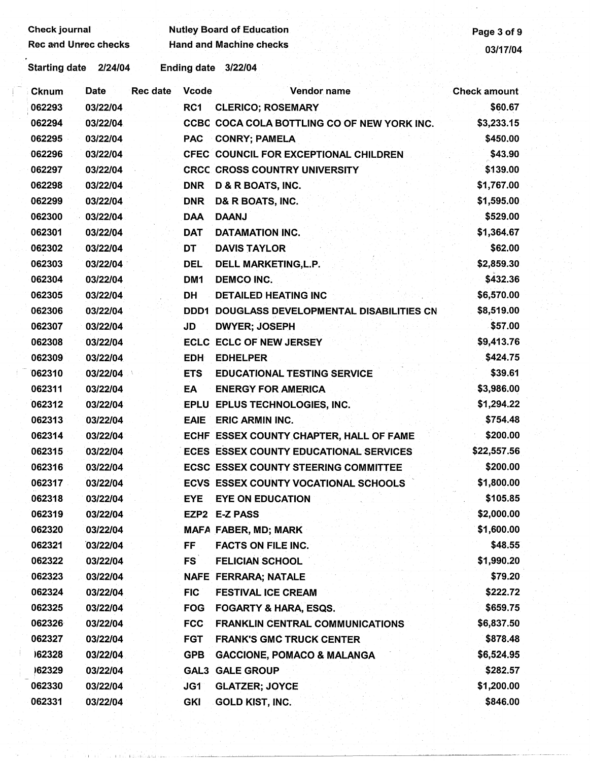Check journal **Nutley Board of Education**<br>Rec and Unrec checks Hand and Machine checks **Page 3 of 9** Rec and Machine checks and Machine checks 03/17/04

Starting date 2/24/04 Ending date 3/22/04 .

| <b>Cknum</b> | Date     | <b>Rec date</b> | <b>Vcode</b>    | Vendor name                                   | <b>Check amount</b> |
|--------------|----------|-----------------|-----------------|-----------------------------------------------|---------------------|
| 062293       | 03/22/04 |                 | RC1             | <b>CLERICO; ROSEMARY</b>                      | \$60.67             |
| 062294       | 03/22/04 |                 |                 | CCBC COCA COLA BOTTLING CO OF NEW YORK INC.   | \$3,233.15          |
| 062295       | 03/22/04 |                 | <b>PAC</b>      | <b>CONRY; PAMELA</b>                          | \$450.00            |
| 062296       | 03/22/04 |                 |                 | CFEC COUNCIL FOR EXCEPTIONAL CHILDREN         | \$43.90             |
| 062297       | 03/22/04 |                 |                 | <b>CRCC CROSS COUNTRY UNIVERSITY</b>          | \$139.00            |
| 062298       | 03/22/04 |                 | <b>DNR</b>      | D & R BOATS, INC.                             | \$1,767.00          |
| 062299       | 03/22/04 |                 | <b>DNR</b>      | D& R BOATS, INC.                              | \$1,595.00          |
| 062300       | 03/22/04 |                 | <b>DAA</b>      | <b>DAANJ</b>                                  | \$529.00            |
| 062301       | 03/22/04 |                 | <b>DAT</b>      | <b>DATAMATION INC.</b>                        | \$1,364.67          |
| 062302       | 03/22/04 |                 | DT              | <b>DAVIS TAYLOR</b>                           | \$62.00             |
| 062303       | 03/22/04 |                 | DEL             | DELL MARKETING, L.P.                          | \$2,859.30          |
| 062304       | 03/22/04 |                 | DM <sub>1</sub> | <b>DEMCO INC.</b>                             | \$432.36            |
| 062305       | 03/22/04 |                 | DH              | <b>DETAILED HEATING INC</b>                   | \$6,570.00          |
| 062306       | 03/22/04 |                 | DDD1            | DOUGLASS DEVELOPMENTAL DISABILITIES CN        | \$8,519.00          |
| 062307       | 03/22/04 |                 | JD              | <b>DWYER; JOSEPH</b>                          | \$57.00             |
| 062308       | 03/22/04 |                 |                 | <b>ECLC ECLC OF NEW JERSEY</b>                | \$9,413.76          |
| 062309       | 03/22/04 |                 | <b>EDH</b>      | <b>EDHELPER</b>                               | \$424.75            |
| 062310       | 03/22/04 |                 | <b>ETS</b>      | <b>EDUCATIONAL TESTING SERVICE</b>            | \$39.61             |
| 062311       | 03/22/04 |                 | EA              | <b>ENERGY FOR AMERICA</b>                     | \$3,986.00          |
| 062312       | 03/22/04 |                 |                 | EPLU EPLUS TECHNOLOGIES, INC.                 | \$1,294.22          |
| 062313       | 03/22/04 |                 | <b>EAIE</b>     | <b>ERIC ARMIN INC.</b>                        | \$754.48            |
| 062314       | 03/22/04 |                 |                 | ECHF ESSEX COUNTY CHAPTER, HALL OF FAME       | \$200.00            |
| 062315       | 03/22/04 |                 |                 | <b>ECES ESSEX COUNTY EDUCATIONAL SERVICES</b> | \$22,557.56         |
| 062316       | 03/22/04 |                 |                 | <b>ECSC ESSEX COUNTY STEERING COMMITTEE</b>   | \$200.00            |
| 062317       | 03/22/04 |                 |                 | ECVS ESSEX COUNTY VOCATIONAL SCHOOLS          | \$1,800.00          |
| 062318       | 03/22/04 |                 | <b>EYE</b>      | <b>EYE ON EDUCATION</b>                       | \$105.85            |
| 062319       | 03/22/04 |                 |                 | EZP2 E-Z PASS                                 | \$2,000.00          |
| 062320       | 03/22/04 |                 |                 | MAFA FABER, MD; MARK                          | \$1,600.00          |
| 062321       | 03/22/04 |                 | FF              | <b>FACTS ON FILE INC.</b>                     | \$48.55             |
| 062322       | 03/22/04 |                 | <b>FS</b>       | <b>FELICIAN SCHOOL</b>                        | \$1,990.20          |
| 062323       | 03/22/04 |                 |                 | NAFE FERRARA; NATALE                          | \$79.20             |
| 062324       | 03/22/04 |                 | <b>FIC</b>      | <b>FESTIVAL ICE CREAM</b>                     | \$222.72            |
| 062325       | 03/22/04 |                 | <b>FOG</b>      | <b>FOGARTY &amp; HARA, ESQS.</b>              | \$659.75            |
| 062326       | 03/22/04 |                 | <b>FCC</b>      | <b>FRANKLIN CENTRAL COMMUNICATIONS</b>        | \$6,837.50          |
| 062327       | 03/22/04 |                 | <b>FGT</b>      | <b>FRANK'S GMC TRUCK CENTER</b>               | \$878.48            |
| 162328       | 03/22/04 |                 | <b>GPB</b>      | <b>GACCIONE, POMACO &amp; MALANGA</b>         | \$6,524.95          |
| 162329       | 03/22/04 |                 | GAL3            | <b>GALE GROUP</b>                             | \$282.57            |
| 062330       | 03/22/04 |                 | JG1             | <b>GLATZER; JOYCE</b>                         | \$1,200.00          |
| 062331       | 03/22/04 |                 | <b>GKI</b>      | <b>GOLD KIST, INC.</b>                        | \$846.00            |

I! Ii: ,I, ,\_l\_L\_J-~--- --~~l-..:.\_~........L.\_,\_.\_~~~---...'-..\_\_\_~-~--~-~-------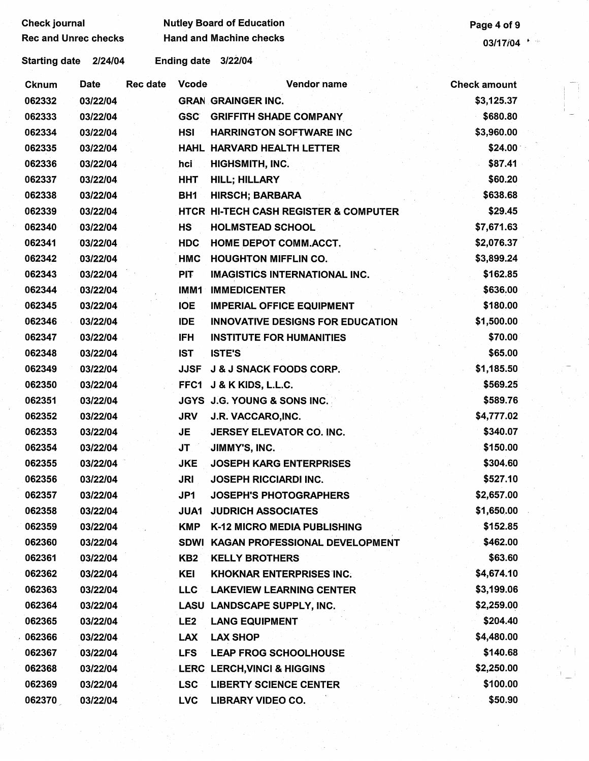| <b>Check journal</b>        |             |                 |              | <b>Nutley Board of Education</b>        | Page 4 of 9         |
|-----------------------------|-------------|-----------------|--------------|-----------------------------------------|---------------------|
| <b>Rec and Unrec checks</b> |             |                 |              | <b>Hand and Machine checks</b>          | 03/17/04            |
| <b>Starting date</b>        | 2/24/04     |                 |              | Ending date 3/22/04                     |                     |
| <b>Cknum</b>                | <b>Date</b> | <b>Rec date</b> | <b>Vcode</b> | Vendor name                             | <b>Check amount</b> |
| 062332                      | 03/22/04    |                 |              | <b>GRAN GRAINGER INC.</b>               | \$3,125.37          |
| 062333                      | 03/22/04    |                 | <b>GSC</b>   | <b>GRIFFITH SHADE COMPANY</b>           | \$680.80            |
| 062334                      | 03/22/04    |                 | <b>HSI</b>   | <b>HARRINGTON SOFTWARE INC</b>          | \$3,960.00          |
| 062335                      | 03/22/04    |                 |              | HAHL HARVARD HEALTH LETTER              | \$24.00             |
| 062336                      | 03/22/04    |                 | hci          | HIGHSMITH, INC.                         | \$87.41             |
| 062337                      | 03/22/04    |                 | <b>HHT</b>   | HILL; HILLARY                           | \$60.20             |
| 062338                      | 03/22/04    |                 | BH1          | <b>HIRSCH; BARBARA</b>                  | \$638.68            |
| 062339                      | 03/22/04    |                 |              | HTCR HI-TECH CASH REGISTER & COMPUTER   | \$29.45             |
| 062340                      | 03/22/04    |                 | <b>HS</b>    | <b>HOLMSTEAD SCHOOL</b>                 | \$7,671.63          |
| 062341                      | 03/22/04    |                 | <b>HDC</b>   | <b>HOME DEPOT COMM.ACCT.</b>            | \$2,076.37          |
| 062342                      | 03/22/04    |                 | <b>HMC</b>   | <b>HOUGHTON MIFFLIN CO.</b>             | \$3,899.24          |
| 062343                      | 03/22/04    |                 | <b>PIT</b>   | <b>IMAGISTICS INTERNATIONAL INC.</b>    | \$162.85            |
| 062344                      | 03/22/04    |                 | IMM1         | <b>IMMEDICENTER</b>                     | \$636.00            |
| 062345                      | 03/22/04    |                 | <b>IOE</b>   | <b>IMPERIAL OFFICE EQUIPMENT</b>        | \$180.00            |
| 062346                      | 03/22/04    |                 | <b>IDE</b>   | <b>INNOVATIVE DESIGNS FOR EDUCATION</b> | \$1,500.00          |
| 062347                      | 03/22/04    |                 | <b>IFH</b>   | <b>INSTITUTE FOR HUMANITIES</b>         | \$70.00             |
| 062348                      | 03/22/04    |                 | <b>IST</b>   | <b>ISTE'S</b>                           | \$65.00             |
| 062349                      | 03/22/04    |                 | <b>JJSF</b>  | <b>J &amp; J SNACK FOODS CORP.</b>      | \$1,185.50          |
| 062350                      | 03/22/04    |                 | FFC1         | J & K KIDS, L.L.C.                      | \$569.25            |
| 062351                      | 03/22/04    |                 |              | JGYS J.G. YOUNG & SONS INC.             | \$589.76            |
| 062352                      | 03/22/04    |                 | <b>JRV</b>   | J.R. VACCARO, INC.                      | \$4,777.02          |
| 062353                      | 03/22/04    |                 | <b>JE</b>    | JERSEY ELEVATOR CO. INC.                | \$340.07            |
| 062354                      | 03/22/04    |                 | <b>JT</b>    | JIMMY'S, INC.                           | \$150.00            |
| 062355                      | 03/22/04    |                 | <b>JKE</b>   | <b>JOSEPH KARG ENTERPRISES</b>          | \$304.60            |
| 062356                      | 03/22/04    |                 | JRI          | <b>JOSEPH RICCIARDI INC.</b>            | \$527.10            |
| 062357                      | 03/22/04    |                 | JP1          | <b>JOSEPH'S PHOTOGRAPHERS</b>           | \$2,657.00          |
| 062358                      | 03/22/04    |                 | JUA1         | <b>JUDRICH ASSOCIATES</b>               | \$1,650.00          |
| 062359                      | 03/22/04    |                 | <b>KMP</b>   | K-12 MICRO MEDIA PUBLISHING             | \$152.85            |
| 062360                      | 03/22/04    |                 |              | SDWI KAGAN PROFESSIONAL DEVELOPMENT     | \$462.00            |
| 062361                      | 03/22/04    |                 | KB2          | <b>KELLY BROTHERS</b>                   | \$63.60             |
| 062362                      | 03/22/04    |                 | KEI          | <b>KHOKNAR ENTERPRISES INC.</b>         | \$4,674.10          |
| 062363                      | 03/22/04    |                 | LLC.         | <b>LAKEVIEW LEARNING CENTER</b>         | \$3,199.06          |
| 062364                      | 03/22/04    |                 |              | LASU LANDSCAPE SUPPLY, INC.             | \$2,259.00          |
| 062365                      | 03/22/04    |                 | LE2          | <b>LANG EQUIPMENT</b>                   | \$204.40            |
| 062366                      | 03/22/04    |                 | <b>LAX</b>   | <b>LAX SHOP</b>                         | \$4,480.00          |
| 062367                      | 03/22/04    |                 | <b>LFS</b>   | <b>LEAP FROG SCHOOLHOUSE</b>            | \$140.68            |
| 062368                      | 03/22/04    |                 |              | LERC LERCH, VINCI & HIGGINS             | \$2,250.00          |
| 062369                      | 03/22/04    |                 | <b>LSC</b>   | <b>LIBERTY SCIENCE CENTER</b>           | \$100.00            |
| 062370                      | 03/22/04    |                 | <b>LVC</b>   | <b>LIBRARY VIDEO CO.</b>                | \$50.90             |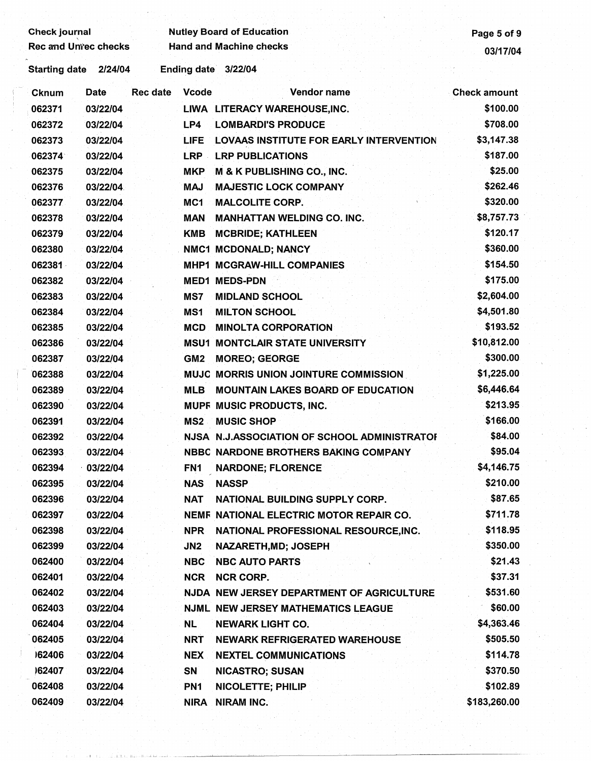| <b>Check journal</b>        |          |                 |                  | <b>Nutley Board of Education</b>               | Page 5 of 9         |
|-----------------------------|----------|-----------------|------------------|------------------------------------------------|---------------------|
| <b>Rec and Unrec checks</b> |          |                 |                  | <b>Hand and Machine checks</b>                 | 03/17/04            |
| <b>Starting date</b>        | 2/24/04  |                 |                  | Ending date 3/22/04                            |                     |
| Cknum                       | Date     | <b>Rec date</b> | <b>Vcode</b>     | Vendor name                                    | <b>Check amount</b> |
| 062371                      | 03/22/04 |                 |                  | LIWA LITERACY WAREHOUSE, INC.                  | \$100.00            |
| 062372                      | 03/22/04 |                 | LP4              | <b>LOMBARDI'S PRODUCE</b>                      | \$708.00            |
| 062373                      | 03/22/04 |                 | <b>LIFE</b>      | <b>LOVAAS INSTITUTE FOR EARLY INTERVENTION</b> | \$3,147.38          |
| 062374                      | 03/22/04 |                 | LRP -            | <b>LRP PUBLICATIONS</b>                        | \$187.00            |
| 062375                      | 03/22/04 |                 | <b>MKP</b>       | <b>M &amp; K PUBLISHING CO., INC.</b>          | \$25.00             |
| 062376                      | 03/22/04 |                 | <b>MAJ</b>       | <b>MAJESTIC LOCK COMPANY</b>                   | \$262.46            |
| 062377                      | 03/22/04 |                 | MC <sub>1</sub>  | <b>MALCOLITE CORP.</b>                         | \$320.00            |
| 062378                      | 03/22/04 |                 | <b>MAN</b>       | <b>MANHATTAN WELDING CO. INC.</b>              | \$8,757.73          |
| 062379                      | 03/22/04 |                 | <b>KMB</b>       | <b>MCBRIDE; KATHLEEN</b>                       | \$120.17            |
| 062380                      | 03/22/04 |                 |                  | NMC1 MCDONALD; NANCY                           | \$360.00            |
| 062381                      | 03/22/04 |                 |                  | <b>MHP1 MCGRAW-HILL COMPANIES</b>              | \$154.50            |
| 062382                      | 03/22/04 |                 | MED <sub>1</sub> | <b>MEDS-PDN</b>                                | \$175.00            |
| 062383                      | 03/22/04 |                 | MS7              | <b>MIDLAND SCHOOL</b>                          | \$2,604.00          |
| 062384                      | 03/22/04 |                 | MS1              | <b>MILTON SCHOOL</b>                           | \$4,501.80          |
| 062385                      | 03/22/04 |                 | <b>MCD</b>       | <b>MINOLTA CORPORATION</b>                     | \$193.52            |
| 062386                      | 03/22/04 |                 |                  | <b>MSU1 MONTCLAIR STATE UNIVERSITY</b>         | \$10,812.00         |
| 062387                      | 03/22/04 |                 | GM <sub>2</sub>  | <b>MOREO; GEORGE</b>                           | \$300.00            |
| 062388                      | 03/22/04 |                 |                  | MUJC MORRIS UNION JOINTURE COMMISSION          | \$1,225.00          |
| 062389                      | 03/22/04 |                 | <b>MLB</b>       | <b>MOUNTAIN LAKES BOARD OF EDUCATION</b>       | \$6,446.64          |
| 062390                      | 03/22/04 |                 |                  | MUPF MUSIC PRODUCTS, INC.                      | \$213.95            |
| 062391                      | 03/22/04 |                 |                  | <b>MS2 MUSIC SHOP</b>                          | \$166.00            |
| 062392                      | 03/22/04 |                 |                  | NJSA N.J.ASSOCIATION OF SCHOOL ADMINISTRATOR   | \$84.00             |
| 062393                      | 03/22/04 |                 |                  | NBBC NARDONE BROTHERS BAKING COMPANY           | \$95.04             |
| 062394                      | 03/22/04 |                 | FN <sub>1</sub>  | <b>NARDONE; FLORENCE</b>                       | \$4,146.75          |
| 062395                      | 03/22/04 |                 | <b>NAS</b>       | <b>NASSP</b>                                   | \$210.00            |
| 062396                      | 03/22/04 |                 | NAT              | NATIONAL BUILDING SUPPLY CORP.                 | \$87.65             |
| 062397                      | 03/22/04 |                 |                  | NEMF NATIONAL ELECTRIC MOTOR REPAIR CO.        | \$711.78            |
| 062398                      | 03/22/04 |                 | <b>NPR</b>       | NATIONAL PROFESSIONAL RESOURCE, INC.           | \$118.95            |
| 062399                      | 03/22/04 |                 | JN2              | NAZARETH, MD; JOSEPH                           | \$350.00            |
| 062400                      | 03/22/04 |                 | NBC              | <b>NBC AUTO PARTS</b>                          | \$21.43             |
| 062401                      | 03/22/04 |                 | <b>NCR</b>       | <b>NCR CORP.</b>                               | \$37.31             |
| 062402                      | 03/22/04 |                 |                  | NJDA NEW JERSEY DEPARTMENT OF AGRICULTURE      | \$531.60            |
| 062403                      | 03/22/04 |                 |                  | <b>NJML NEW JERSEY MATHEMATICS LEAGUE</b>      | \$60.00             |
| 062404                      | 03/22/04 |                 | <b>NL</b>        | <b>NEWARK LIGHT CO.</b>                        | \$4,363.46          |
| 062405                      | 03/22/04 |                 | <b>NRT</b>       | <b>NEWARK REFRIGERATED WAREHOUSE</b>           | \$505.50            |
| 162406                      | 03/22/04 |                 | <b>NEX</b>       | <b>NEXTEL COMMUNICATIONS</b>                   | \$114.78            |
| )62407                      | 03/22/04 |                 | <b>SN</b>        | <b>NICASTRO; SUSAN</b>                         | \$370.50            |
| 062408                      | 03/22/04 |                 | PN <sub>1</sub>  | NICOLETTE; PHILIP                              | \$102.89            |
| 062409                      | 03/22/04 |                 | <b>NIRA</b>      | <b>NIRAM INC.</b>                              | \$183,260.00        |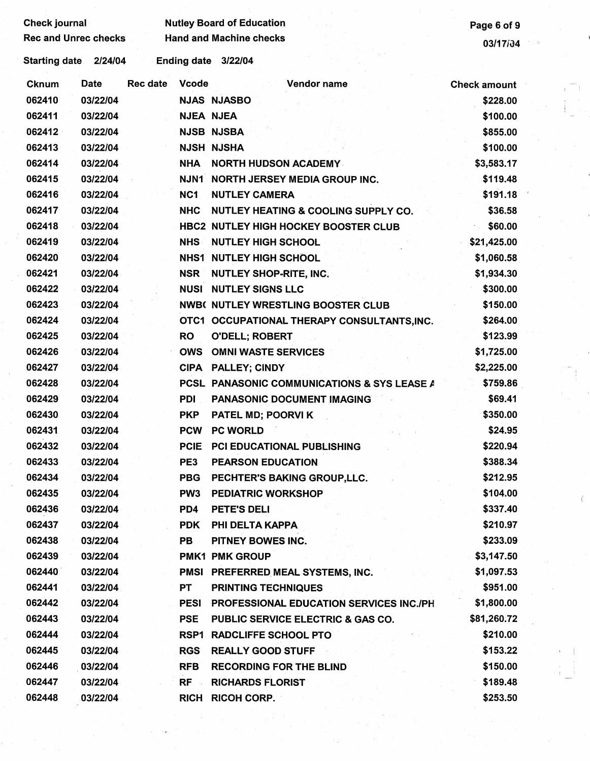|              | <b>Rec and Unrec checks</b> |                 |                  | <b>Hand and Machine checks</b>                 | 03/17/34<br>109     |
|--------------|-----------------------------|-----------------|------------------|------------------------------------------------|---------------------|
|              | Starting date 2/24/04       |                 |                  | Ending date 3/22/04                            |                     |
| <b>Cknum</b> | <b>Date</b>                 | <b>Rec date</b> | <b>Vcode</b>     | Vendor name                                    | <b>Check amount</b> |
| 062410       | 03/22/04                    |                 |                  | <b>NJAS NJASBO</b>                             | \$228.00            |
| 062411       | 03/22/04                    |                 | <b>NJEA NJEA</b> |                                                | \$100.00            |
| 062412       | 03/22/04                    |                 |                  | <b>NJSB NJSBA</b>                              | \$855.00            |
| 062413       | 03/22/04                    |                 |                  | <b>NJSH NJSHA</b>                              | \$100.00            |
| 062414       | 03/22/04                    |                 | <b>NHA</b>       | <b>NORTH HUDSON ACADEMY</b>                    | \$3,583.17          |
| 062415       | 03/22/04                    |                 |                  | NJN1 NORTH JERSEY MEDIA GROUP INC.             | \$119.48            |
| 062416       | 03/22/04                    |                 | NC <sub>1</sub>  | <b>NUTLEY CAMERA</b>                           | \$191.18            |
| 062417       | 03/22/04                    |                 | <b>NHC</b>       | NUTLEY HEATING & COOLING SUPPLY CO.            | \$36.58             |
| 062418       | 03/22/04                    |                 |                  | <b>HBC2 NUTLEY HIGH HOCKEY BOOSTER CLUB</b>    | \$60.00             |
| 062419       | 03/22/04                    |                 | <b>NHS</b>       | <b>NUTLEY HIGH SCHOOL</b>                      | \$21,425.00         |
| 062420       | 03/22/04                    |                 |                  | <b>NHS1 NUTLEY HIGH SCHOOL</b>                 | \$1,060.58          |
| 062421       | 03/22/04                    |                 |                  | NSR NUTLEY SHOP-RITE, INC.                     | \$1,934.30          |
| 062422       | 03/22/04                    |                 |                  | <b>NUSI NUTLEY SIGNS LLC</b>                   | \$300.00            |
| 062423       | 03/22/04                    |                 |                  | <b>NWB( NUTLEY WRESTLING BOOSTER CLUB</b>      | \$150.00            |
| 062424       | 03/22/04                    |                 |                  | OTC1 OCCUPATIONAL THERAPY CONSULTANTS, INC.    | \$264.00            |
| 062425       | 03/22/04                    |                 | <b>RO</b>        | <b>O'DELL; ROBERT</b>                          | \$123.99            |
| 062426       | 03/22/04                    |                 | OWS              | <b>OMNI WASTE SERVICES</b>                     | \$1,725.00          |
| 062427       | 03/22/04                    |                 |                  | CIPA PALLEY; CINDY                             | \$2,225.00          |
| 062428       | 03/22/04                    |                 |                  | PCSL PANASONIC COMMUNICATIONS & SYS LEASE A    | \$759.86            |
| 062429       | 03/22/04                    |                 | <b>PDI</b>       | PANASONIC DOCUMENT IMAGING                     | \$69.41             |
| 062430       | 03/22/04                    |                 | <b>PKP</b>       | PATEL MD; POORVI K                             | \$350.00            |
| 062431       | 03/22/04                    |                 | <b>PCW</b>       | <b>PC WORLD</b>                                | \$24.95             |
| 062432       | 03/22/04                    |                 | <b>PCIE</b>      | <b>PCI EDUCATIONAL PUBLISHING</b>              | \$220.94            |
| 062433       | 03/22/04                    |                 | PE3              | <b>PEARSON EDUCATION</b>                       | \$388.34            |
| 062434       | 03/22/04                    |                 | <b>PBG</b>       | PECHTER'S BAKING GROUP, LLC.                   | \$212.95            |
| 062435       | 03/22/04                    |                 | PW <sub>3</sub>  | <b>PEDIATRIC WORKSHOP</b>                      | \$104.00            |
| 062436       | 03/22/04                    |                 | PD4              | PETE'S DELI                                    | \$337.40            |
| 062437       | 03/22/04                    |                 | <b>PDK</b>       | PHI DELTA KAPPA                                | \$210.97            |
| 062438       | 03/22/04                    |                 | PB               | PITNEY BOWES INC.                              | \$233.09            |
| 062439       | 03/22/04                    |                 |                  | <b>PMK1 PMK GROUP</b>                          | \$3,147.50          |
| 062440       | 03/22/04                    |                 |                  | PMSI PREFERRED MEAL SYSTEMS, INC.              | \$1,097.53          |
| 062441       | 03/22/04                    |                 | <b>PT</b>        | <b>PRINTING TECHNIQUES</b>                     | \$951.00            |
| 062442       | 03/22/04                    |                 | <b>PESI</b>      | <b>PROFESSIONAL EDUCATION SERVICES INC./PH</b> | \$1,800.00          |
| 062443       | 03/22/04                    |                 | <b>PSE</b>       | PUBLIC SERVICE ELECTRIC & GAS CO.              | \$81,260.72         |
| 062444       | 03/22/04                    |                 |                  | <b>RSP1 RADCLIFFE SCHOOL PTO</b>               | \$210.00            |
| 062445       | 03/22/04                    |                 | <b>RGS</b>       | <b>REALLY GOOD STUFF</b>                       | \$153.22            |
| 062446       | 03/22/04                    |                 | <b>RFB</b>       | <b>RECORDING FOR THE BLIND</b>                 | \$150.00            |
| 062447       | 03/22/04                    |                 | $RF -$           | <b>RICHARDS FLORIST</b>                        | \$189.48            |
| 062448       | 03/22/04                    |                 |                  | RICH RICOH CORP.                               | \$253.50            |

 $\langle$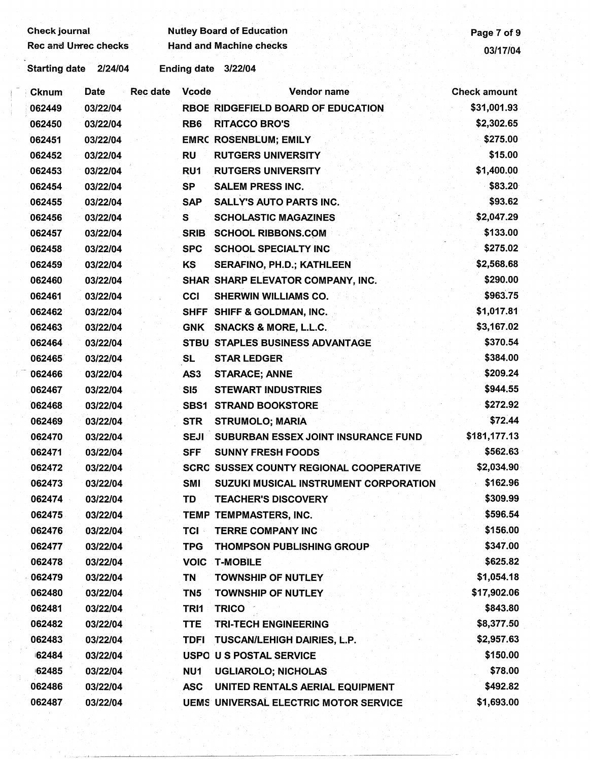Check journal Nutley Board of Education<br>Rec and Unrec checks Hand and Machine checks 02/17/04

Starting date 2/24/04 Ending date 3/22/04

| <b>Cknum</b> | Date     | Rec date | <b>Vcode</b>    | Vendor name                                    | Check amount |
|--------------|----------|----------|-----------------|------------------------------------------------|--------------|
| 062449       | 03/22/04 |          |                 | RBOE RIDGEFIELD BOARD OF EDUCATION             | \$31,001.93  |
| 062450       | 03/22/04 |          | RB <sub>6</sub> | <b>RITACCO BRO'S</b>                           | \$2,302.65   |
| 062451       | 03/22/04 |          |                 | <b>EMRC ROSENBLUM; EMILY</b>                   | \$275.00     |
| 062452       | 03/22/04 |          | <b>RU</b>       | <b>RUTGERS UNIVERSITY</b>                      | \$15.00      |
| 062453       | 03/22/04 |          | RU1             | <b>RUTGERS UNIVERSITY</b>                      | \$1,400.00   |
| 062454       | 03/22/04 |          | SP              | <b>SALEM PRESS INC.</b>                        | \$83.20      |
| 062455       | 03/22/04 |          | <b>SAP</b>      | <b>SALLY'S AUTO PARTS INC.</b>                 | \$93.62      |
| 062456       | 03/22/04 |          | S               | <b>SCHOLASTIC MAGAZINES</b>                    | \$2,047.29   |
| 062457       | 03/22/04 |          | <b>SRIB</b>     | <b>SCHOOL RIBBONS.COM</b>                      | \$133.00     |
| 062458       | 03/22/04 |          | <b>SPC</b>      | <b>SCHOOL SPECIALTY INC</b>                    | \$275.02     |
| 062459       | 03/22/04 |          | <b>KS</b>       | <b>SERAFINO, PH.D.; KATHLEEN</b>               | \$2,568.68   |
| 062460       | 03/22/04 |          |                 | SHAR SHARP ELEVATOR COMPANY, INC.              | \$290.00     |
| 062461       | 03/22/04 |          | CCI             | <b>SHERWIN WILLIAMS CO.</b>                    | \$963.75     |
| 062462       | 03/22/04 |          |                 | SHFF SHIFF & GOLDMAN, INC.                     | \$1,017.81   |
| 062463       | 03/22/04 |          | <b>GNK</b>      | <b>SNACKS &amp; MORE, L.L.C.</b>               | \$3,167.02   |
| 062464       | 03/22/04 |          |                 | STBU STAPLES BUSINESS ADVANTAGE                | \$370.54     |
| 062465       | 03/22/04 |          | <b>SL</b>       | <b>STAR LEDGER</b>                             | \$384.00     |
| 062466       | 03/22/04 |          | AS3             | <b>STARACE; ANNE</b>                           | \$209.24     |
| 062467       | 03/22/04 |          | SI <sub>5</sub> | <b>STEWART INDUSTRIES</b>                      | \$944.55     |
| 062468       | 03/22/04 |          | <b>SBS1</b>     | <b>STRAND BOOKSTORE</b>                        | \$272.92     |
| 062469       | 03/22/04 |          | <b>STR</b>      | <b>STRUMOLO; MARIA</b>                         | \$72.44      |
| 062470       | 03/22/04 |          | <b>SEJI</b>     | <b>SUBURBAN ESSEX JOINT INSURANCE FUND</b>     | \$181,177.13 |
| 062471       | 03/22/04 |          | <b>SFF</b>      | <b>SUNNY FRESH FOODS</b>                       | \$562.63     |
| 062472       | 03/22/04 |          |                 | <b>SCRC SUSSEX COUNTY REGIONAL COOPERATIVE</b> | \$2,034.90   |
| 062473       | 03/22/04 |          | <b>SMI</b>      | SUZUKI MUSICAL INSTRUMENT CORPORATION          | \$162.96     |
| 062474       | 03/22/04 |          | TD              | <b>TEACHER'S DISCOVERY</b>                     | \$309.99     |
| 062475       | 03/22/04 |          |                 | TEMP TEMPMASTERS, INC.                         | \$596.54     |
| 062476       | 03/22/04 |          | <b>TCI</b>      | <b>TERRE COMPANY INC</b>                       | \$156.00     |
| 062477       | 03/22/04 |          | <b>TPG</b>      | <b>THOMPSON PUBLISHING GROUP</b>               | \$347.00     |
| 062478       | 03/22/04 |          | <b>VOIC</b>     | <b>T-MOBILE</b>                                | \$625.82     |
| 062479       | 03/22/04 |          | <b>TN</b>       | <b>TOWNSHIP OF NUTLEY</b>                      | \$1,054.18   |
| 062480       | 03/22/04 |          | TN <sub>5</sub> | <b>TOWNSHIP OF NUTLEY</b>                      | \$17,902.06  |
| 062481       | 03/22/04 |          | TRI1            | <b>TRICO</b>                                   | \$843.80     |
| 062482       | 03/22/04 |          | <b>TTE</b>      | <b>TRI-TECH ENGINEERING</b>                    | \$8,377.50   |
| 062483       | 03/22/04 |          | <b>TDFI</b>     | <b>TUSCAN/LEHIGH DAIRIES, L.P.</b>             | \$2,957.63   |
| 62484        | 03/22/04 |          |                 | <b>USPO U S POSTAL SERVICE</b>                 | \$150.00     |
| 62485        | 03/22/04 |          | NU <sub>1</sub> | <b>UGLIAROLO; NICHOLAS</b>                     | \$78.00      |
| 062486       | 03/22/04 |          | <b>ASC</b>      | UNITED RENTALS AERIAL EQUIPMENT                | \$492.82     |
| 062487       | 03/22/04 |          |                 | <b>UEMS UNIVERSAL ELECTRIC MOTOR SERVICE</b>   | \$1,693.00   |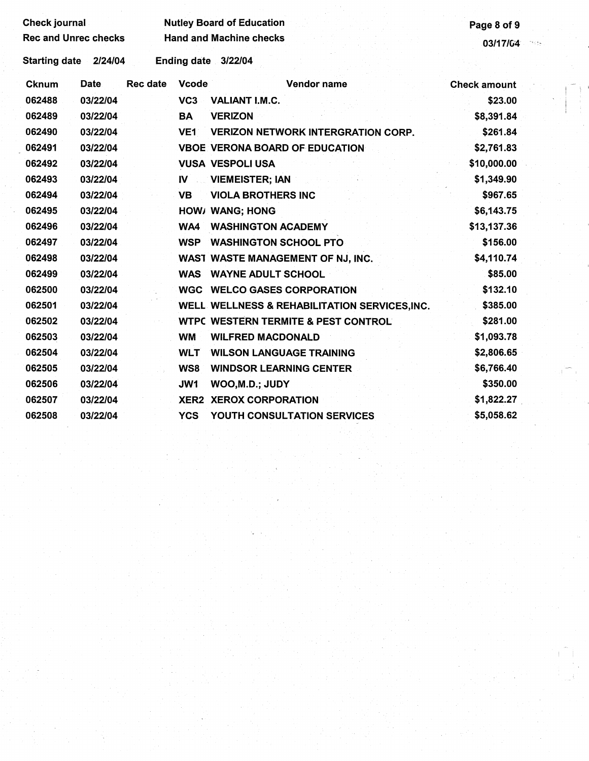| <b>Check journal</b>        |             |                 |                 | <b>Nutley Board of Education</b>               | Page 8 of 9         |  |
|-----------------------------|-------------|-----------------|-----------------|------------------------------------------------|---------------------|--|
| <b>Rec and Unrec checks</b> |             |                 |                 | <b>Hand and Machine checks</b>                 |                     |  |
|                             |             |                 |                 |                                                | 03/17/64<br>The fac |  |
| <b>Starting date</b>        | 2/24/04     |                 |                 | Ending date 3/22/04                            |                     |  |
| <b>Cknum</b>                | <b>Date</b> | <b>Rec date</b> | <b>Vcode</b>    | <b>Vendor name</b>                             | <b>Check amount</b> |  |
| 062488                      | 03/22/04    |                 | VC <sub>3</sub> | VALIANT I.M.C.                                 | \$23.00             |  |
| 062489                      | 03/22/04    |                 | BA              | <b>VERIZON</b>                                 | \$8,391.84          |  |
| 062490                      | 03/22/04    |                 | <b>VE1</b>      | <b>VERIZON NETWORK INTERGRATION CORP.</b>      | \$261.84            |  |
| 062491                      | 03/22/04    |                 |                 | <b>VBOE VERONA BOARD OF EDUCATION</b>          | \$2,761.83          |  |
| 062492                      | 03/22/04    |                 |                 | <b>VUSA VESPOLI USA</b>                        | \$10,000.00         |  |
| 062493                      | 03/22/04    |                 | $\mathbf{N}$    | <b>VIEMEISTER; IAN</b>                         | \$1,349.90          |  |
| 062494                      | 03/22/04    |                 | <b>VB</b>       | <b>VIOLA BROTHERS INC</b>                      | \$967.65            |  |
| 062495                      | 03/22/04    |                 |                 | HOW/ WANG; HONG                                | \$6,143.75          |  |
| 062496                      | 03/22/04    |                 | WA4             | <b>WASHINGTON ACADEMY</b>                      | \$13,137.36         |  |
| 062497                      | 03/22/04    |                 | <b>WSP</b>      | <b>WASHINGTON SCHOOL PTO</b>                   | \$156.00            |  |
| 062498                      | 03/22/04    |                 |                 | WAST WASTE MANAGEMENT OF NJ, INC.              | \$4,110.74          |  |
| 062499                      | 03/22/04    |                 | <b>WAS</b>      | <b>WAYNE ADULT SCHOOL</b>                      | \$85.00             |  |
| 062500                      | 03/22/04    |                 |                 | <b>WGC WELCO GASES CORPORATION</b>             | \$132.10            |  |
| 062501                      | 03/22/04    |                 |                 | WELL WELLNESS & REHABILITATION SERVICES, INC.  | \$385.00            |  |
| 062502                      | 03/22/04    |                 |                 | <b>WTPC WESTERN TERMITE &amp; PEST CONTROL</b> | \$281.00            |  |
| 062503                      | 03/22/04    |                 | <b>WM</b>       | <b>WILFRED MACDONALD</b>                       | \$1,093.78          |  |
| 062504                      | 03/22/04    |                 | <b>WLT</b>      | <b>WILSON LANGUAGE TRAINING</b>                | \$2,806.65          |  |
| 062505                      | 03/22/04    |                 | WS8             | <b>WINDSOR LEARNING CENTER</b>                 | \$6,766.40          |  |
| 062506                      | 03/22/04    |                 | JW1             | WOO, M.D.; JUDY                                | \$350.00            |  |
| 062507                      | 03/22/04    |                 |                 | <b>XER2 XEROX CORPORATION</b>                  | \$1,822.27          |  |
| 062508                      | 03/22/04    |                 | <b>YCS</b>      | YOUTH CONSULTATION SERVICES                    | \$5,058.62          |  |